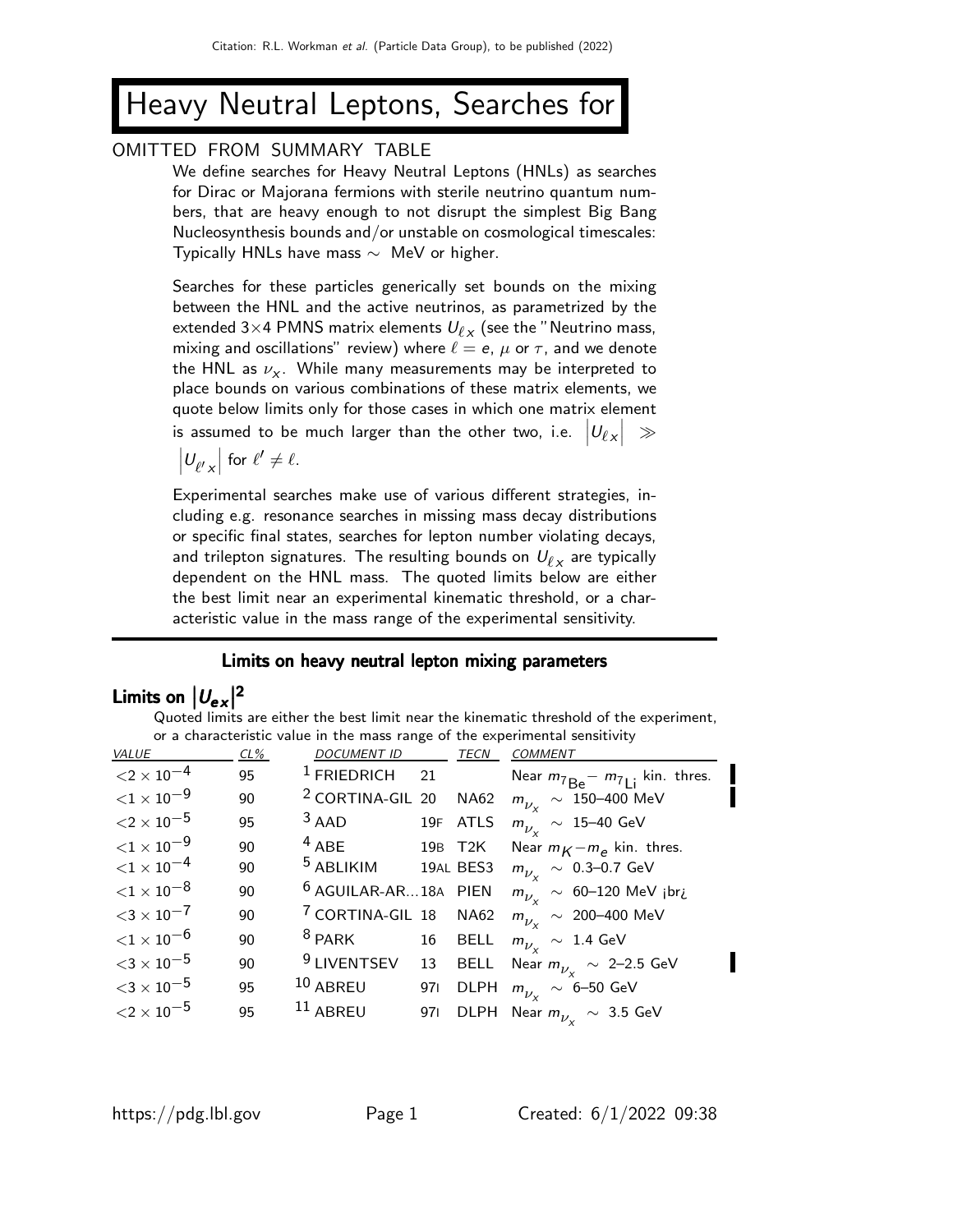# Heavy Neutral Leptons, Searches for

#### OMITTED FROM SUMMARY TABLE

We define searches for Heavy Neutral Leptons (HNLs) as searches for Dirac or Majorana fermions with sterile neutrino quantum numbers, that are heavy enough to not disrupt the simplest Big Bang Nucleosynthesis bounds and/or unstable on cosmological timescales: Typically HNLs have mass  $\sim$  MeV or higher.

Searches for these particles generically set bounds on the mixing between the HNL and the active neutrinos, as parametrized by the extended 3 $\times$ 4 PMNS matrix elements  $U_{\ell_{\boldsymbol{\mathcal{X}}}}$  (see the "Neutrino mass, mixing and oscillations" review) where  $\ell = e$ ,  $\mu$  or  $\tau$ , and we denote the HNL as  $\nu_{\mathsf{x}}.$  While many measurements may be interpreted to place bounds on various combinations of these matrix elements, we quote below limits only for those cases in which one matrix element is assumed to be much larger than the other two, i.e.  $\big|U_{\ell,\chi}\big| \,\,\gg\,$ 

 $|U_{\ell' \times}|$  for  $\ell' \neq \ell$ .

Experimental searches make use of various different strategies, including e.g. resonance searches in missing mass decay distributions or specific final states, searches for lepton number violating decays, and trilepton signatures. The resulting bounds on  $\mathit{U}_{\ell,x}$  are typically dependent on the HNL mass. The quoted limits below are either the best limit near an experimental kinematic threshold, or a characteristic value in the mass range of the experimental sensitivity.

#### Limits on heavy neutral lepton mixing parameters

## Limits on  $|U_{ex}|^2$

| VALUE                 | $CL\%$ | <b>DOCUMENT ID</b>              |     | <b>TECN</b> | <b>COMMENT</b>                                        |
|-----------------------|--------|---------------------------------|-----|-------------|-------------------------------------------------------|
| ${<}2\times10^{-4}$   | 95     | <sup>1</sup> FRIEDRICH          | 21  |             | Near $m_{7Be}$ - $m_{7Li}$ kin. thres.                |
| ${<}1\times10^{-9}$   | 90     | <sup>2</sup> CORTINA-GIL 20     |     | <b>NA62</b> | $m_{\tilde{\nu}_{\rm v}}~\sim~150\text{--}400$ MeV    |
| ${<}2\times10^{-5}$   | 95     | $3$ AAD                         |     | 19F ATLS    | $m_{\nu_{\nu}} \sim 15\text{--}40 \text{ GeV}$        |
| ${<}1\times10^{-9}$   | 90     | $4$ ABE                         |     | 19B T2K     | Near $m_K - m_e$ kin. thres.                          |
| ${<}1\times10^{-4}$   | 90     | <sup>5</sup> ABLIKIM            |     | 19AL BES3   | $m_{\nu_{\rm v}}~\sim~$ 0.3–0.7 GeV                   |
| ${<}1\times10^{-8}$   | 90     | <sup>6</sup> AGUILAR-AR18A PIEN |     |             | $m_{\nu_v}$ ~ 60-120 MeV jbri                         |
| ${<}3 \times 10^{-7}$ | 90     | <sup>7</sup> CORTINA-GIL 18     |     | <b>NA62</b> | $m_{\tilde{\nu}$ ~ 200-400 MeV                        |
| ${<}1\times10^{-6}$   | 90     | $^8$ PARK                       | 16  | <b>BELL</b> | $m_{\nu_v} \sim 1.4$ GeV                              |
| ${<}3\times10^{-5}$   | 90     | <sup>9</sup> LIVENTSEV          | 13  | <b>BELL</b> | Near $m_{\nu_\text{v}} \sim 2\text{-}2.5 \text{ GeV}$ |
| ${<}3\times10^{-5}$   | 95     | $10$ ABREU                      | 971 | <b>DLPH</b> | $m_{\nu_\mathrm{v}}~\sim~$ 6–50 GeV                   |
| ${<}2\times10^{-5}$   | 95     | $11$ ABREU                      | 971 | <b>DLPH</b> | Near $m_{\nu_\infty}~\sim~$ 3.5 GeV                   |

Quoted limits are either the best limit near the kinematic threshold of the experiment, or a characteristic value in the mass range of the experimental sensitivity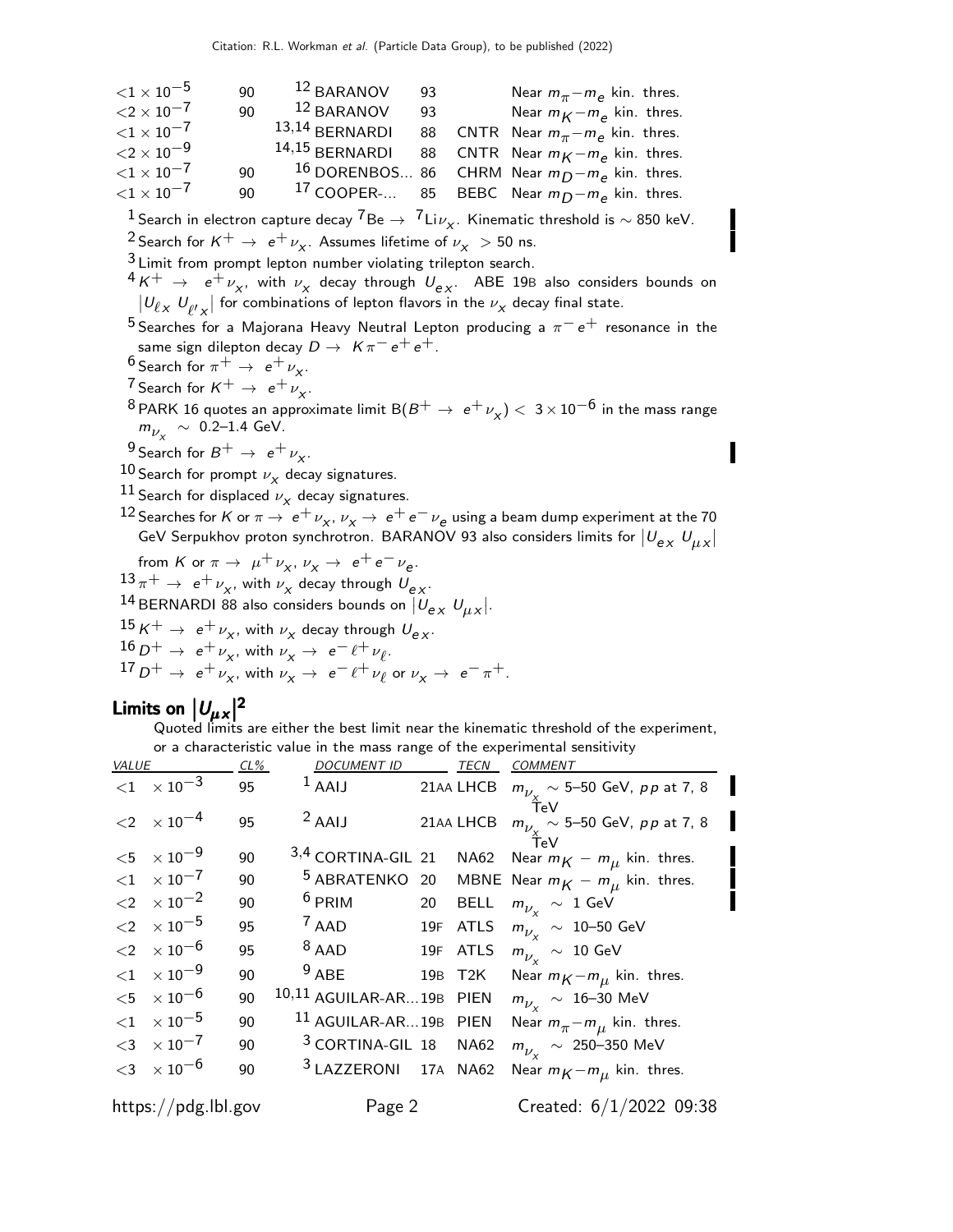| ${<}1 \times 10^{-5}$ | 90 | 12 BARANOV       | 93 | Near $m_{\pi} - m_{\rho}$ kin. thres.                       |
|-----------------------|----|------------------|----|-------------------------------------------------------------|
| ${<}2\times10^{-7}$   | 90 | 12 BARANOV       | 93 | Near $m_K - m_\rho$ kin. thres.                             |
| ${<}1 \times 10^{-7}$ |    | $13,14$ BERNARDI |    | 88 CNTR Near $m_{\pi} - m_{\rho}$ kin. thres.               |
| ${<}2 \times 10^{-9}$ |    | $14,15$ BERNARDI |    | 88 CNTR Near $m_K - m_e$ kin. thres.                        |
| ${<}1 \times 10^{-7}$ | 90 |                  |    | <sup>16</sup> DORENBOS 86 CHRM Near $m_D - m_e$ kin. thres. |
| ${<}1 \times 10^{-7}$ | 90 |                  |    | <sup>17</sup> COOPER- 85 BEBC Near $m_D - m_e$ kin. thres.  |

 $\frac{1}{2}$ Search in electron capture decay  $\frac{7}{8}$ Be  $\rightarrow$   $\frac{7}{1}$ Li $\nu_{\chi}$ . Kinematic threshold is  $\sim$  850 keV.

<sup>2</sup> Search for  $K^+ \rightarrow e^+ \nu_X$ . Assumes lifetime of  $\nu_X > 50$  ns.

3 Limit from prompt lepton number violating trilepton search.

 $^4K^+$   $\rightarrow$   $\,$   $\mathrm{e}^+$   $\nu_\chi$ , with  $\nu_\chi$  decay through  $\,U_{\mathrm{e}\,\chi}$ . ABE 19B also considers bounds on  $|U_{\ell \times}$   $U_{\ell' \times}$  for combinations of lepton flavors in the  $\nu_{\times}$  decay final state.

5 Searches for a Majorana Heavy Neutral Lepton producing a  $\pi^- e^+$  resonance in the same sign dilepton decay  $D \to K \pi^- e^+ e^+$ .

- $\frac{6}{5}$  Search for  $\pi^+ \rightarrow e^+ \nu_X$ .
- <sup>7</sup> Search for  $K^+ \rightarrow e^+ \nu_X^+$ .

 $^8$  PARK 16 quotes an approximate limit B $(B^+ \to e^+ \nu_\chi) <~3 \times 10^{-6}$  in the mass range  $m_{\nu_X} \sim 0.2$ –1.4 GeV.

- <sup>9</sup> Search for  $B^+ \rightarrow e^+ \nu_X$ .
- $^{10}$  Search for prompt  $\nu_{\chi}$  decay signatures.
- $\frac{11}{2}$  Search for displaced  $\nu_X$  decay signatures.
- 12 Searches for K or  $\pi \to e^+ \nu_X$ ,  $\nu_X \to e^+ e^- \nu_e$  using a beam dump experiment at the 70 GeV Serpukhov proton synchrotron. BARANOV 93 also considers limits for  $|\mathcal{U}_{\mu\chi}|$

from K or  $\pi \to \mu^+ \nu_X$ ,  $\nu_X \to e^+ e^- \nu_e$ .  $\frac{13}{\pi} \pi^+ \to e^+ \nu_\chi$ , with  $\nu_\chi$  decay through  $U_{ex}$ . <sup>14</sup> BERNARDI 88 also considers bounds on  $|U_{ex}U_{\mu\,x}|$ .  $\frac{15}{16}$ K<sup>+</sup>  $\rightarrow$  e<sup>+</sup>  $\nu_x$ , with  $\nu_x$  decay through  $U_{ex}$ .  $16 D^+ \rightarrow e^+ \nu_x$ , with  $\nu_x \rightarrow e^- \ell^+ \nu_\ell$ .  $17 D^+ \rightarrow e^+ \nu_X^2$ , with  $\nu_X^2 \rightarrow e^- \ell^+ \nu_\ell^2$  or  $\nu_X \rightarrow e^- \pi^+$ .

## Limits on  $|U_{\mu}x|^2$

Quoted limits are either the best limit near the kinematic threshold of the experiment, or a characteristic value in the mass range of the experimental sensitivity

| <b>VALUE</b> |                                        | CL% | <b>DOCUMENT ID</b>               |    | <b>TECN</b> | <b>COMMENT</b>                                                |
|--------------|----------------------------------------|-----|----------------------------------|----|-------------|---------------------------------------------------------------|
|              | $\langle 1 \ \times 10^{-3} \ \rangle$ | 95  | $^1$ AAIJ                        |    | 21AA LHCB   | $m_{\nu_\mathrm{v}} \sim$ 5–50 GeV, $\rho \rho$ at 7, 8       |
|              | $<$ 2 $\times$ 10 <sup>-4</sup>        | 95  | $2$ AAIJ                         |    |             | $T$ eV<br>21AA LHCB $m_{\nu_\nu} \sim 5$ -50 GeV, pp at 7, 8  |
| $<$ 5        | $\times$ 10 $^{-9}$                    | 90  |                                  |    |             | TeV<br>3,4 CORTINA-GIL 21 NA62 Near $m_K - m_\mu$ kin. thres. |
|              | ${1 \times 10^{-7}}$                   | 90  | <sup>5</sup> ABRATENKO 20        |    |             | MBNE Near $m_K - m_\mu$ kin. thres.                           |
|              | $\langle 2 \times 10^{-2} \rangle$     | 90  | <sup>6</sup> PRIM                | 20 | <b>BELL</b> | $m_{\nu_\mathrm{v}}~\sim~1~\mathrm{GeV}$                      |
|              | $<$ 2 $\times$ 10 <sup>-5</sup>        | 95  | $7$ AAD                          |    | 19F ATLS    | $m_{\nu_\mathrm{v}}~\sim~$ 10–50 GeV                          |
|              | ${<}2 \times 10^{-6}$                  | 95  | $8$ AAD                          |    | 19F ATLS    | $m_{\nu_\mathrm{v}}~\sim~10~\mathrm{GeV}$                     |
|              | $<$ 1 $\times$ 10 $^{-9}$              | 90  | $9$ ABE                          |    | 19B T2K     | Near $m_K - m_\mu$ kin. thres.                                |
|              | ${<}5 \times 10^{-6}$                  | 90  | 10,11 AGUILAR-AR19B PIEN         |    |             | $m_{\nu_\mathrm{v}}~\sim~16\text{--}30$ MeV                   |
|              | $<$ 1 $\times$ 10 $^{-5}$              | 90  | 11 AGUILAR-AR19B PIEN            |    |             | Near $m_{\pi} - m_{\mu}$ kin. thres.                          |
|              | $<$ 3 $\times$ 10 <sup>-7</sup>        | 90  | <sup>3</sup> CORTINA-GIL 18 NA62 |    |             | $m_{\tilde{\nu}_\text{v}} \sim 250\text{--}350 \text{ MeV}$   |
|              | $<$ 3 $\times$ 10 <sup>-6</sup>        | 90  | <sup>3</sup> LAZZERONI 17A NA62  |    |             | Near $m_K - m_\mu$ kin. thres.                                |
|              | https://pdg.lbl.gov                    |     | Page 2                           |    |             | Created: $6/1/2022$ 09:38                                     |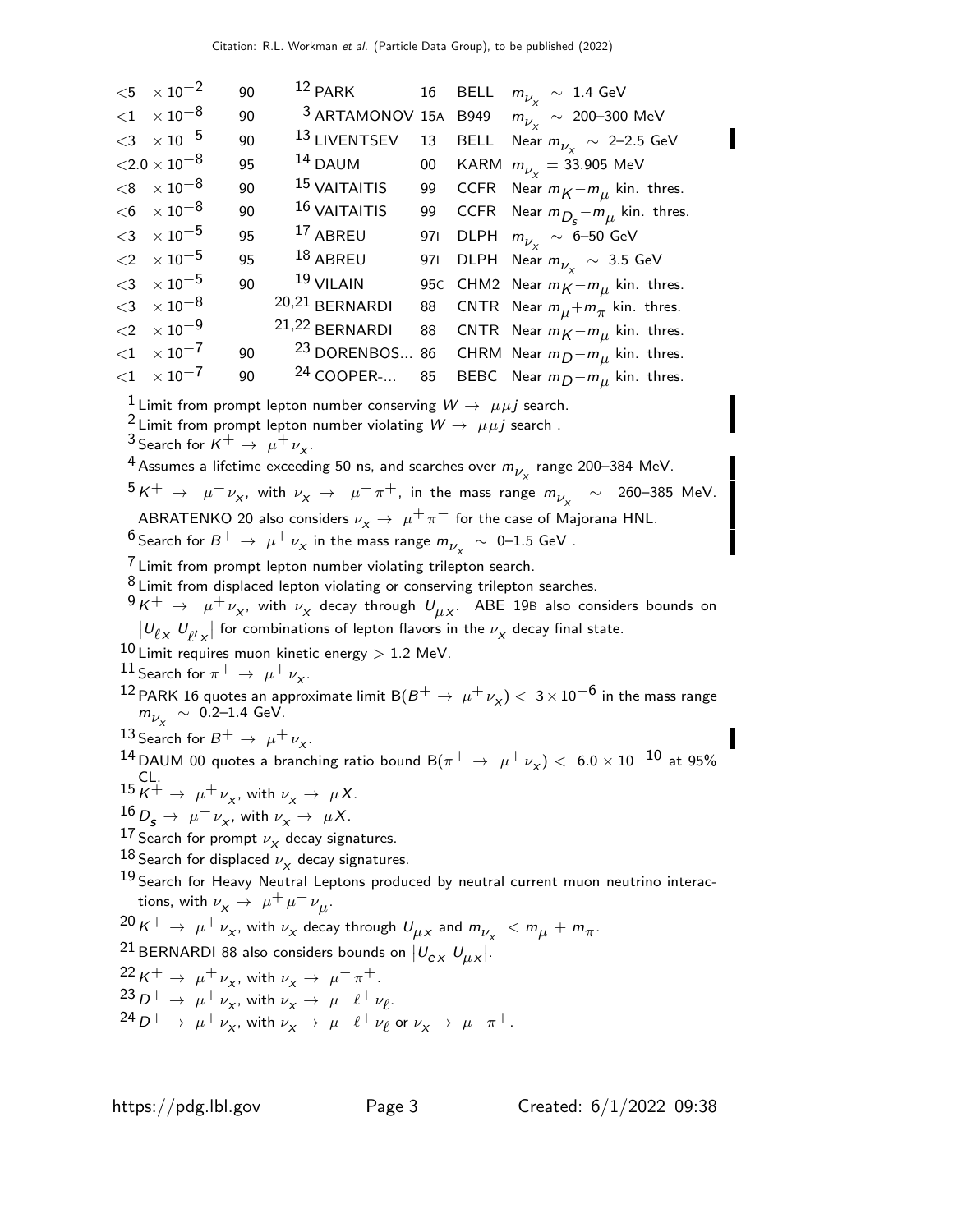|       | $< 5 \times 10^{-2}$            | 90 | $12$ PARK                       |     | 16 BELL | $m_{\nu_\mathrm{v}}~\sim~1.4~\mathrm{GeV}$                    |
|-------|---------------------------------|----|---------------------------------|-----|---------|---------------------------------------------------------------|
|       | $<$ 1 $\times$ 10 $^{-8}$       | 90 | <sup>3</sup> ARTAMONOV 15A B949 |     |         | $m_{\tilde{\nu}_\text{v}} \sim 200\text{--}300 \text{ MeV}$   |
|       | $<$ 3 $\times$ 10 $^{-5}$       | 90 | 13 LIVENTSEV                    | 13  | BELL    | Near $m_{\nu_\mathrm{v}}~\sim~$ 2–2.5 GeV                     |
|       | ${<}2.0\times10^{-8}$           | 95 | $14$ DAUM                       | 00  |         | KARM $m_{\nu_{v}} = 33.905$ MeV                               |
|       | $<$ 8 $\times10^{-8}$           | 90 | <sup>15</sup> VAITAITIS         | 99  |         | CCFR Near $m_K - m_\mu$ kin. thres.                           |
|       | $<$ 6 $\times$ 10 $^{-8}$       | 90 | <sup>16</sup> VAITAITIS         | 99  |         | CCFR Near $m_{D_s} - m_{\mu}$ kin. thres.                     |
|       | $<$ 3 $\times$ 10 <sup>-5</sup> | 95 | $17$ ABREU                      | 971 |         | DLPH $m_{\nu_v} \sim 6\text{--}50 \text{ GeV}$                |
|       | $<$ 2 $\times$ 10 <sup>-5</sup> | 95 | $18$ ABREU                      |     |         | 971 DLPH Near $m_{\nu_v} \sim 3.5$ GeV                        |
|       | $<$ 3 $\times$ 10 <sup>-5</sup> | 90 | $19$ VILAIN                     |     |         | 95C CHM2 Near $m_K - m_\mu$ kin. thres.                       |
|       | $<$ 3 $\times10^{-8}$           |    | 20,21 BERNARDI                  | 88  |         | CNTR Near $m_{\mu} + m_{\pi}$ kin. thres.                     |
|       | $<$ 2 $\times$ 10 <sup>-9</sup> |    | 21,22 BERNARDI                  | 88  |         | CNTR Near $m_K - m_\mu$ kin. thres.                           |
| $<$ 1 | $\times$ 10 $^{-7}$             | 90 |                                 |     |         | <sup>23</sup> DORENBOS 86 CHRM Near $m_D - m_\mu$ kin. thres. |
|       | ${1 \times 10^{-7}}$            | 90 | $24$ COOPER-                    | 85  |         | BEBC Near $m_D - m_\mu$ kin. thres.                           |

<sup>1</sup> Limit from prompt lepton number conserving  $W \rightarrow \mu \mu j$  search.

<sup>2</sup> Limit from prompt lepton number violating  $W \rightarrow \mu \mu j$  search.

<sup>3</sup> Search for  $K^+ \rightarrow \mu^+ \nu_X$ .

 $^4$  Assumes a lifetime exceeding 50 ns, and searches over  $m_{\nu_\chi}$  range 200–384 MeV.

 $5 K^+$  →  $\mu^+ \nu_\chi$ , with  $\nu_\chi$  →  $\mu^- \pi^+$ , in the mass range  $m_{\nu_\chi}$   $\sim$  260–385 MeV. ABRATENKO 20 also considers  $\nu_x \rightarrow \mu^+ \pi^-$  for the case of Majorana HNL.

 $^6$ Search for  $B^+ \rightarrow \ \mu^+ \nu_\chi$  in the mass range  $m_{\nu_\chi} \ \sim \ 0\text{--}1.5 \ \text{GeV}$  .

<sup>7</sup> Limit from prompt lepton number violating trilepton search.

8 Limit from displaced lepton violating or conserving trilepton searches.

 $^9\,K^+\,\rightarrow\,\,\,\mu^+\,\nu_\chi,$  with  $\nu_\chi$  decay through  $\,\mathcal{U}_{\mu\,X}.\,\,$  ABE 19B also considers bounds on

 $|U_{\ell \times}$   $U_{\ell' \times}|$  for combinations of lepton flavors in the  $\nu_{\chi}$  decay final state.

 $10$  Limit requires muon kinetic energy  $> 1.2$  MeV.

$$
\stackrel{11}{\longrightarrow} \mathsf{Search} \text{ for } \pi^+ \to \mu^+ \nu_\chi.
$$

12 PARK 16 quotes an approximate limit B $(B^+ \to \mu^+ \nu_\chi) < 3 \times 10^{-6}$  in the mass range  $m_{\nu_X} \sim 0.2$ –1.4 GeV.

13 Search for  $B^+ \rightarrow \mu^+ \nu_{\chi}$ .

14 DAUM 00 quotes a branching ratio bound  $B(\pi^+ \rightarrow \mu^+ \nu_X) < 6.0 \times 10^{-10}$  at 95%  $^{15}K^+$   $\rightarrow$   $\mu^+\nu_x$ , with  $\nu_x \rightarrow \mu X$ .

- $\frac{16}{12} D_{\mathbf{S}} \rightarrow \mu^+ \nu_{\chi}$ , with  $\nu_{\chi} \rightarrow \mu X$ .
- $^{17}$  Search for prompt  $\nu_{\chi}$  decay signatures.
- $\frac{18}{18}$  Search for displaced  $\nu_X$  decay signatures.

<sup>19</sup> Search for Heavy Neutral Leptons produced by neutral current muon neutrino interactions, with  $\nu_X \rightarrow \mu^+ \mu^- \nu_\mu$ .

 $^{20}\text{\,K}^+ \rightarrow \ \mu^+\nu_{\chi}$ , with  $\nu_{\chi}$  decay through  $\mathcal{U}_{\mu\chi}$  and  $m_{\nu_{\chi}}~< m_{\mu} + m_{\pi}$ .

<sup>21</sup> BERNARDI 88 also considers bounds on  $|U_{\bm{e} \times} U_{\mu} \times$ .

 $22 K^+ \rightarrow \mu^+ \nu_X$ , with  $\nu_X \rightarrow \mu^- \pi^+$ .  $23 D^+ \rightarrow \mu^+ \nu_x$ , with  $\nu_x \rightarrow \mu^- \ell^+ \nu_\ell$ .  $24 D^+ \rightarrow \mu^+ \nu_X^2$ , with  $\nu_X \rightarrow \mu^- \ell^+ \nu_\ell^2$  or  $\nu_X \rightarrow \mu^- \pi^+$ .